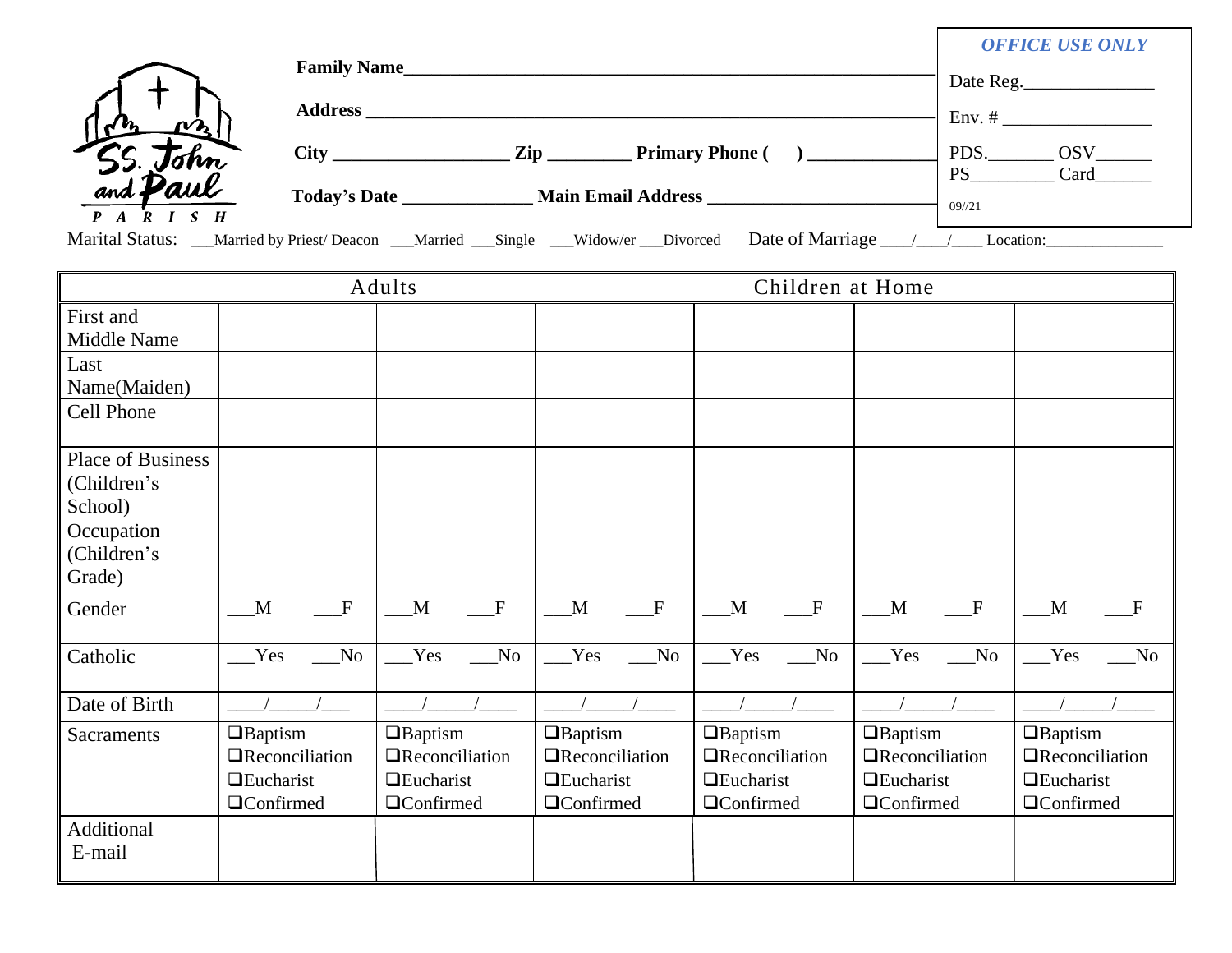|                                       | <b>Family Name</b> |                                                                                                         | <b>OFFICE USE ONLY</b><br>Date Reg.     |
|---------------------------------------|--------------------|---------------------------------------------------------------------------------------------------------|-----------------------------------------|
|                                       | <b>Address</b>     |                                                                                                         | $Env.$ #                                |
| 55. John<br>and <b>Paul</b>           | <b>City</b> City   | $\mathbf{Zip}$<br><b>Primary Phone</b> (                                                                | PDS.<br><b>OSV</b><br><b>PS</b><br>Card |
| $\overline{P}$ A $\overline{R}$ I S H | Today's Date       | <b>Main Email Address</b>                                                                               | $09^{1/21}$                             |
|                                       |                    | Date of Marriage<br>Marital Status: __Married by Priest/Deacon __Married __Single __Widow/er __Divorced | Location:                               |

|                                             |                                                                                   | Adults                                                                            |                                                                                      | Children at Home                                                                  |                                                                                     |                                                                                    |
|---------------------------------------------|-----------------------------------------------------------------------------------|-----------------------------------------------------------------------------------|--------------------------------------------------------------------------------------|-----------------------------------------------------------------------------------|-------------------------------------------------------------------------------------|------------------------------------------------------------------------------------|
| First and<br>Middle Name                    |                                                                                   |                                                                                   |                                                                                      |                                                                                   |                                                                                     |                                                                                    |
| Last<br>Name(Maiden)                        |                                                                                   |                                                                                   |                                                                                      |                                                                                   |                                                                                     |                                                                                    |
| Cell Phone                                  |                                                                                   |                                                                                   |                                                                                      |                                                                                   |                                                                                     |                                                                                    |
| Place of Business<br>(Children's<br>School) |                                                                                   |                                                                                   |                                                                                      |                                                                                   |                                                                                     |                                                                                    |
| Occupation<br>(Children's<br>Grade)         |                                                                                   |                                                                                   |                                                                                      |                                                                                   |                                                                                     |                                                                                    |
| Gender                                      | $\mathbf{F}$<br>M                                                                 | M<br>$\mathbf F$                                                                  | $\boldsymbol{\mathrm{F}}$<br>M                                                       | $\mathbf{F}$<br>M                                                                 | M<br>$\mathbf F$                                                                    | $\mathbf F$<br>M                                                                   |
| Catholic                                    | Yes<br>$\rm No$                                                                   | Yes<br>No                                                                         | Yes<br>No                                                                            | Yes<br>No                                                                         | Yes<br>$\rm No$                                                                     | Yes<br>$\overline{\text{No}}$                                                      |
| Date of Birth                               |                                                                                   |                                                                                   |                                                                                      |                                                                                   |                                                                                     |                                                                                    |
| <b>Sacraments</b>                           | $\Box$ Baptism<br><b>TReconciliation</b><br>$\Box$ Eucharist<br><b>QConfirmed</b> | $\Box$ Baptism<br><b>TReconciliation</b><br>$\Box$ Eucharist<br><b>QConfirmed</b> | $\Box$ Baptism<br><b>T</b> Reconciliation<br><b>Q</b> Eucharist<br><b>QConfirmed</b> | $\Box$ Baptism<br>$\Box$ Reconciliation<br><b>Q</b> Eucharist<br>$\Box$ Confirmed | <b>O</b> Baptism<br><b>TReconciliation</b><br>$\Box$ Eucharist<br><b>QConfirmed</b> | $\Box$ Baptism<br><b>T</b> Reconciliation<br>$\Box$ Eucharist<br><b>QConfirmed</b> |
| Additional<br>E-mail                        |                                                                                   |                                                                                   |                                                                                      |                                                                                   |                                                                                     |                                                                                    |